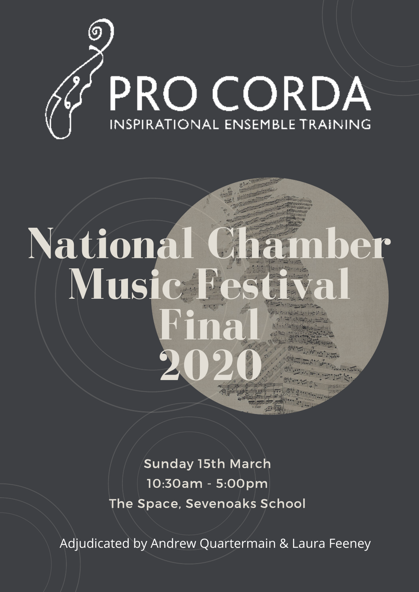

## **National Chamber Musi Final 2020**

Sunday 15th March 10:30am - 5:00pm The Space, Sevenoaks School

Adjudicated by Andrew Quartermain & Laura Feeney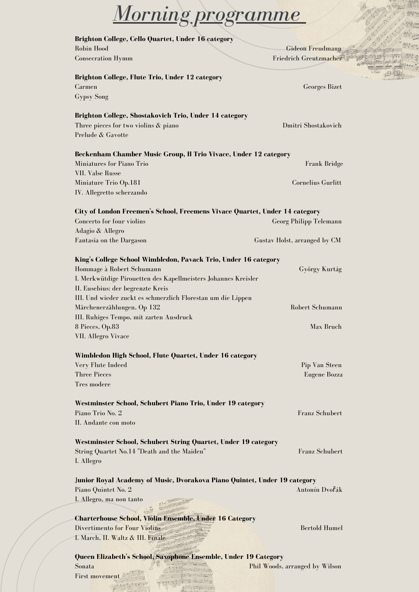| <u>Morning programme</u>                                                    |                                                   |  |
|-----------------------------------------------------------------------------|---------------------------------------------------|--|
|                                                                             |                                                   |  |
| Brighton College, Cello Quartet, Under 16 category<br><b>Robin Hood</b>     |                                                   |  |
| <b>Consecration Hymm</b>                                                    | <b>Gideon Freudmann</b><br>Friedrich Greutzmacher |  |
| <b>Brighton College, Flute Trio, Under 12 category</b>                      |                                                   |  |
| Carmen                                                                      | Georges Bizet                                     |  |
| <b>Gypsy Song</b>                                                           |                                                   |  |
| Brighton College, Shostakovich Trio, Under 14 category                      |                                                   |  |
| Three pieces for two violins & piano                                        | Dmitri Shostakovich                               |  |
| Prelude & Gavotte                                                           |                                                   |  |
| Beckenham Chamber Music Group, Il Trio Vivace, Under 12 category            |                                                   |  |
| Miniatures for Piano Trio                                                   | Frank Bridge                                      |  |
| VII. Valse Russe                                                            |                                                   |  |
| Miniature Trio Op.181                                                       | Cornelius Gurlitt                                 |  |
| IV. Allegretto scherzando                                                   |                                                   |  |
| City of London Freemen's School, Freemens Vivace Quartet, Under 14 category |                                                   |  |
| Concerto for four violins                                                   | Georg Philipp Telemann                            |  |
| Adagio & Allegro                                                            |                                                   |  |
| Fantasia on the Dargason                                                    | Gustav Holst, arranged by CM                      |  |
| King's College School Wimbledon, Pavack Trio, Under 16 category             |                                                   |  |
| Hommage à Robert Schumann                                                   | György Kurtág                                     |  |
| I. Merkwütdige Pirouetten des Kapellmeisters Johannes Kreisler              |                                                   |  |
| II. Eusebius: der begrenzte Kreis                                           |                                                   |  |
| III. Und wieder zuckt es schmerzlich Florestan um die Lippen                |                                                   |  |
| Märchenerzählungen, Op 132                                                  | Robert Schumann                                   |  |
| III. Ruhiges Tempo, mit zarten Ausdruck                                     |                                                   |  |
| 8 Pieces, Op.83<br>VII. Allegro Vivace                                      | Max Bruch                                         |  |
|                                                                             |                                                   |  |
| Wimbledon High School, Flute Quartet, Under 16 category                     |                                                   |  |
| Very Flute Indeed<br><b>Three Pieces</b>                                    | Pip Van Steen                                     |  |
| Tres modere                                                                 | Eugene Bozza                                      |  |
|                                                                             |                                                   |  |
| Westminster School, Schubert Piano Trio, Under 19 category                  |                                                   |  |
| Piano Trio No. 2<br>II. Andante con moto                                    | <b>Franz Schubert</b>                             |  |
|                                                                             |                                                   |  |
| Westminster School, Schubert String Quartet, Under 19 category              |                                                   |  |
| String Quartet No.14 "Death and the Maiden"                                 | <b>Franz Schubert</b>                             |  |
| I. Allegro                                                                  |                                                   |  |
| Junior Royal Academy of Music, Dvorakova Piano Quintet, Under 19 category   |                                                   |  |
| Piano Quintet No. 2                                                         | Antonín Dvořák                                    |  |
| I. Allegro, ma non tanto                                                    |                                                   |  |
| <b>Charterhouse School, Violin Ensemble, Under 16 Category</b>              |                                                   |  |
| Divertimento for Four Violins                                               | <b>Bertold Humel</b>                              |  |
| I. March, II. Waltz & III. Finale                                           |                                                   |  |
|                                                                             |                                                   |  |
| Queen Elizabeth's School, Saxophone Ensemble, Under 19 Category             |                                                   |  |
| Sonata<br><b>First movement</b>                                             | Phil Woods, arranged by Wilson                    |  |
|                                                                             |                                                   |  |
|                                                                             |                                                   |  |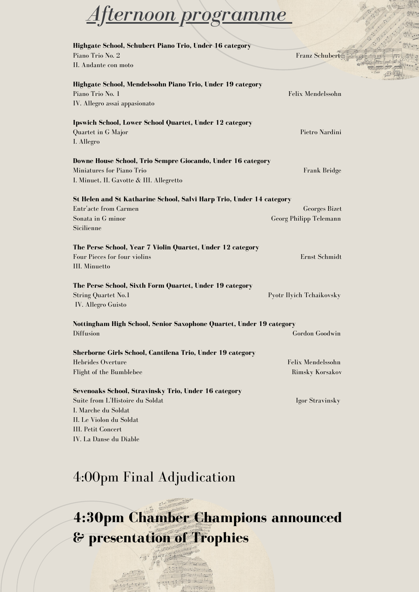## *Afternoon programme*

| Highgate School, Schubert Piano Trio, Under 16 category                                                                                                                                          |                                                |
|--------------------------------------------------------------------------------------------------------------------------------------------------------------------------------------------------|------------------------------------------------|
| Piano Trio No. 2                                                                                                                                                                                 | <b>Franz Schubert</b>                          |
| II. Andante con moto                                                                                                                                                                             |                                                |
| Highgate School, Mendelssohn Piano Trio, Under 19 category<br>Piano Trio No. 1<br>IV. Allegro assai appasionato                                                                                  | Felix Mendelssohn                              |
| <b>Ipswich School, Lower School Quartet, Under 12 category</b><br>Quartet in G Major<br>I. Allegro                                                                                               | Pietro Nardini                                 |
| Downe House School, Trio Sempre Giocando, Under 16 category<br>Miniatures for Piano Trio<br>I. Minuet, II. Gavotte & III. Allegretto                                                             | Frank Bridge                                   |
| St Helen and St Katharine School, Salvi Harp Trio, Under 14 category<br>Entr'acte from Carmen<br>Sonata in G minor<br>Sicilienne                                                                 | <b>Georges Bizet</b><br>Georg Philipp Telemann |
| The Perse School, Year 7 Violin Quartet, Under 12 category<br>Four Pieces for four violins<br><b>III.</b> Minuetto                                                                               | Ernst Schmidt                                  |
| The Perse School, Sixth Form Quartet, Under 19 category<br><b>String Quartet No.1</b><br><b>IV.</b> Allegro Guisto                                                                               | Pyotr Ilyich Tchaikovsky                       |
| Nottingham High School, Senior Saxophone Quartet, Under 19 category<br>Diffusion                                                                                                                 | Gordon Goodwin                                 |
| Sherborne Girls School, Cantilena Trio, Under 19 category<br>Hebrides Overture<br><b>Flight of the Bumblebee</b>                                                                                 | Felix Mendelssohn<br><b>Rimsky Korsakov</b>    |
| Sevenoaks School, Stravinsky Trio, Under 16 category<br>Suite from L'Histoire du Soldat<br>I. Marche du Soldat<br>II. Le Violon du Soldat<br><b>III. Petit Concert</b><br>IV. La Danse du Diable | Igor Stravinsky                                |

## 4:00pm Final Adjudication

**4:30pm Chamber Champions announced & presentation of Trophies**